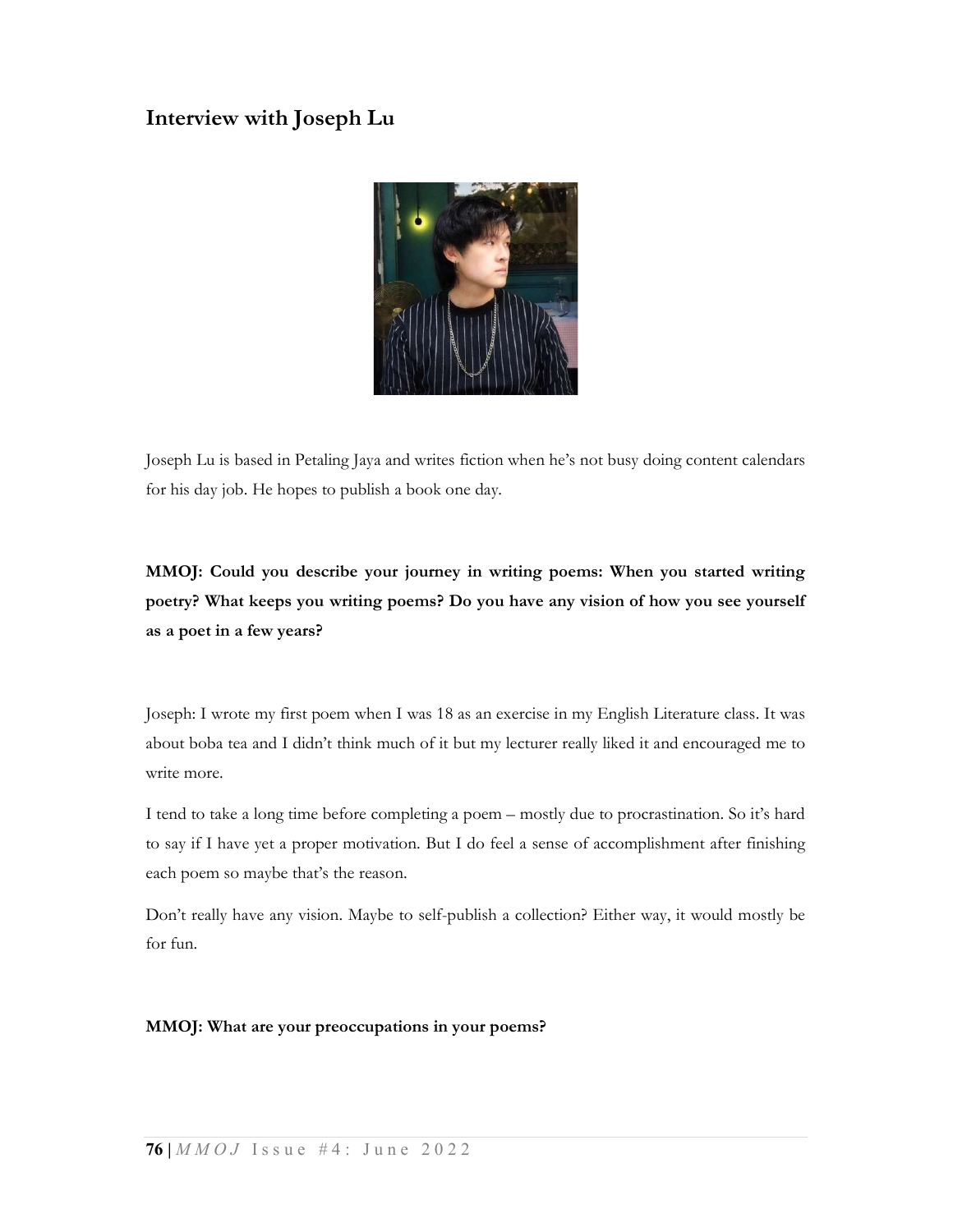# Interview with Joseph Lu



Joseph Lu is based in Petaling Jaya and writes fiction when he's not busy doing content calendars for his day job. He hopes to publish a book one day.

# MMOJ: Could you describe your journey in writing poems: When you started writing poetry? What keeps you writing poems? Do you have any vision of how you see yourself as a poet in a few years?

Joseph: I wrote my first poem when I was 18 as an exercise in my English Literature class. It was about boba tea and I didn't think much of it but my lecturer really liked it and encouraged me to write more.

I tend to take a long time before completing a poem – mostly due to procrastination. So it's hard to say if I have yet a proper motivation. But I do feel a sense of accomplishment after finishing each poem so maybe that's the reason.

Don't really have any vision. Maybe to self-publish a collection? Either way, it would mostly be for fun.

### MMOJ: What are your preoccupations in your poems?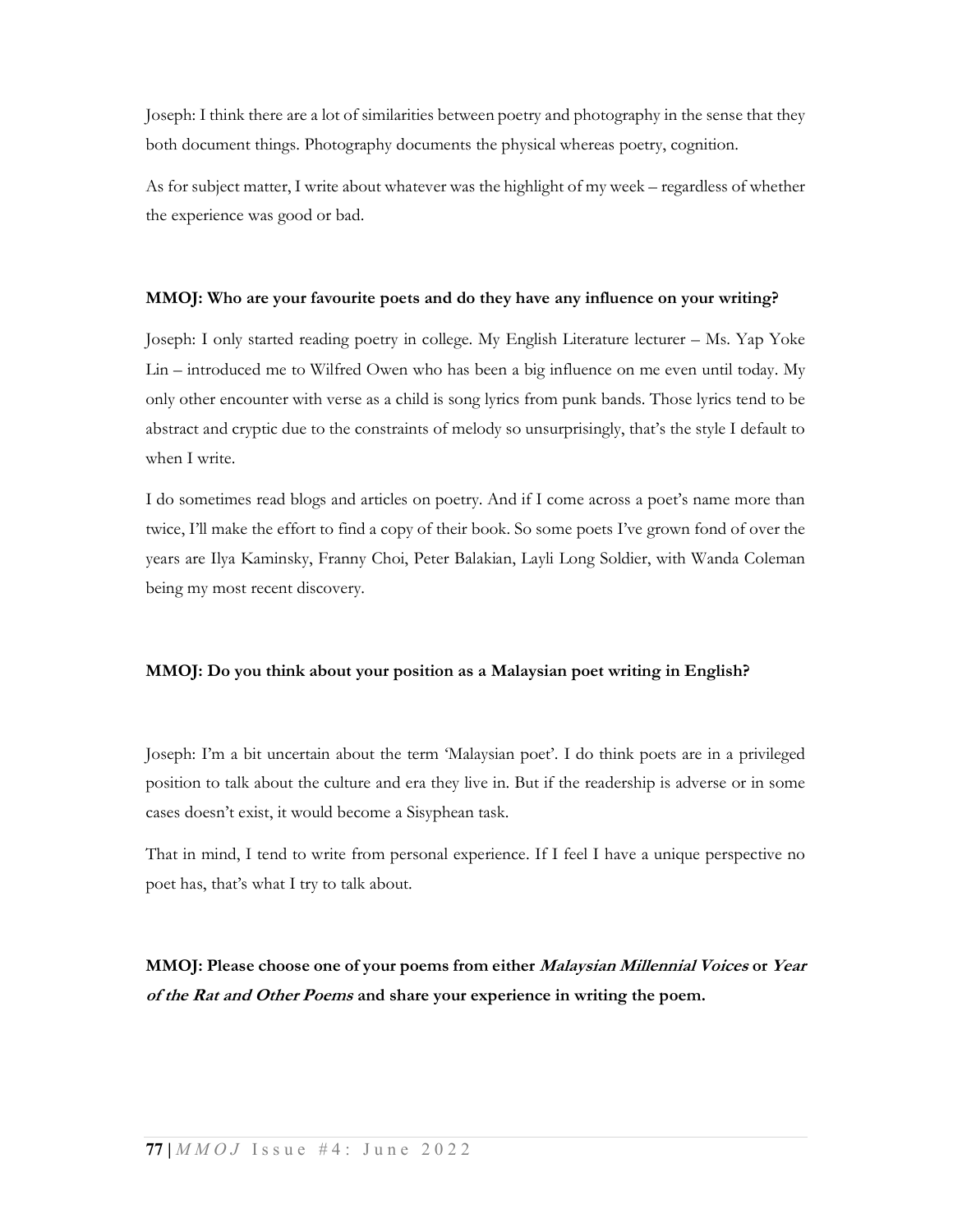Joseph: I think there are a lot of similarities between poetry and photography in the sense that they both document things. Photography documents the physical whereas poetry, cognition.

As for subject matter, I write about whatever was the highlight of my week – regardless of whether the experience was good or bad.

#### MMOJ: Who are your favourite poets and do they have any influence on your writing?

Joseph: I only started reading poetry in college. My English Literature lecturer – Ms. Yap Yoke Lin – introduced me to Wilfred Owen who has been a big influence on me even until today. My only other encounter with verse as a child is song lyrics from punk bands. Those lyrics tend to be abstract and cryptic due to the constraints of melody so unsurprisingly, that's the style I default to when I write.

I do sometimes read blogs and articles on poetry. And if I come across a poet's name more than twice, I'll make the effort to find a copy of their book. So some poets I've grown fond of over the years are Ilya Kaminsky, Franny Choi, Peter Balakian, Layli Long Soldier, with Wanda Coleman being my most recent discovery.

### MMOJ: Do you think about your position as a Malaysian poet writing in English?

Joseph: I'm a bit uncertain about the term 'Malaysian poet'. I do think poets are in a privileged position to talk about the culture and era they live in. But if the readership is adverse or in some cases doesn't exist, it would become a Sisyphean task.

That in mind, I tend to write from personal experience. If I feel I have a unique perspective no poet has, that's what I try to talk about.

MMOJ: Please choose one of your poems from either Malaysian Millennial Voices or Year of the Rat and Other Poems and share your experience in writing the poem.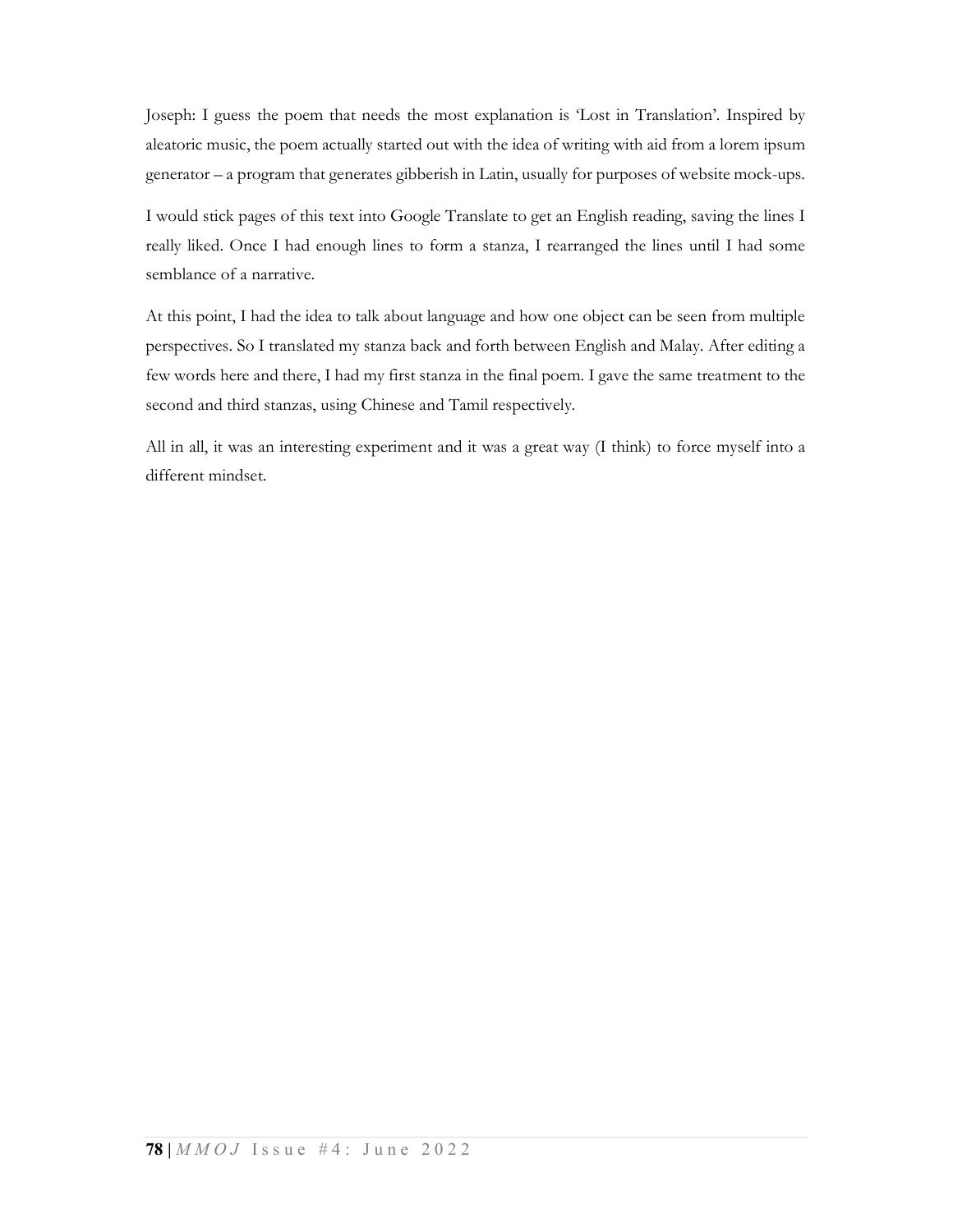Joseph: I guess the poem that needs the most explanation is 'Lost in Translation'. Inspired by aleatoric music, the poem actually started out with the idea of writing with aid from a lorem ipsum generator – a program that generates gibberish in Latin, usually for purposes of website mock-ups.

I would stick pages of this text into Google Translate to get an English reading, saving the lines I really liked. Once I had enough lines to form a stanza, I rearranged the lines until I had some semblance of a narrative.

At this point, I had the idea to talk about language and how one object can be seen from multiple perspectives. So I translated my stanza back and forth between English and Malay. After editing a few words here and there, I had my first stanza in the final poem. I gave the same treatment to the second and third stanzas, using Chinese and Tamil respectively.

All in all, it was an interesting experiment and it was a great way (I think) to force myself into a different mindset.